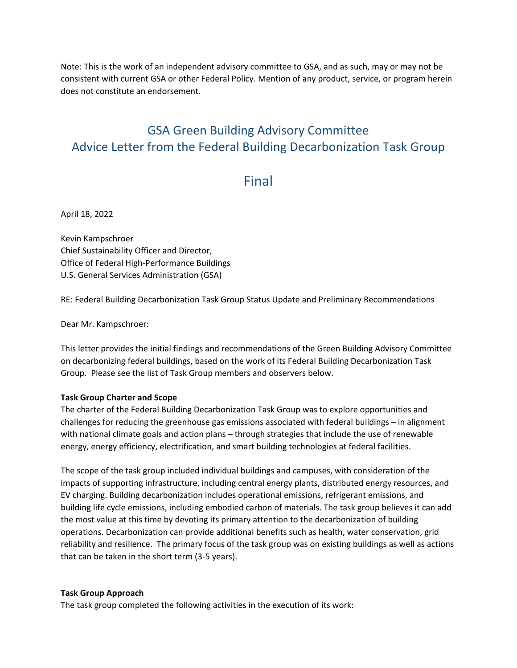Note: This is the work of an independent advisory committee to GSA, and as such, may or may not be consistent with current GSA or other Federal Policy. Mention of any product, service, or program herein does not constitute an endorsement.

# GSA Green Building Advisory Committee Advice Letter from the Federal Building Decarbonization Task Group

# Final

April 18, 2022

Kevin Kampschroer Chief Sustainability Officer and Director, Office of Federal High-Performance Buildings U.S. General Services Administration (GSA)

RE: Federal Building Decarbonization Task Group Status Update and Preliminary Recommendations

Dear Mr. Kampschroer:

This letter provides the initial findings and recommendations of the Green Building Advisory Committee on decarbonizing federal buildings, based on the work of its Federal Building Decarbonization Task Group. Please see the list of Task Group members and observers below.

#### **Task Group Charter and Scope**

The charter of the Federal Building Decarbonization Task Group was to explore opportunities and challenges for reducing the greenhouse gas emissions associated with federal buildings – in alignment with national climate goals and action plans – through strategies that include the use of renewable energy, energy efficiency, electrification, and smart building technologies at federal facilities.

The scope of the task group included individual buildings and campuses, with consideration of the impacts of supporting infrastructure, including central energy plants, distributed energy resources, and EV charging. Building decarbonization includes operational emissions, refrigerant emissions, and building life cycle emissions, including embodied carbon of materials. The task group believes it can add the most value at this time by devoting its primary attention to the decarbonization of building operations. Decarbonization can provide additional benefits such as health, water conservation, grid reliability and resilience. The primary focus of the task group was on existing buildings as well as actions that can be taken in the short term (3-5 years).

#### **Task Group Approach**

The task group completed the following activities in the execution of its work: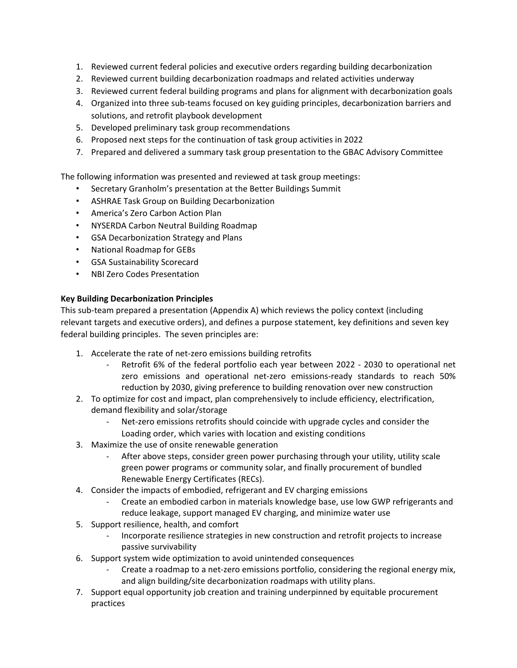- 1. Reviewed current federal policies and executive orders regarding building decarbonization
- 2. Reviewed current building decarbonization roadmaps and related activities underway
- 3. Reviewed current federal building programs and plans for alignment with decarbonization goals
- 4. Organized into three sub-teams focused on key guiding principles, decarbonization barriers and solutions, and retrofit playbook development
- 5. Developed preliminary task group recommendations
- 6. Proposed next steps for the continuation of task group activities in 2022
- 7. Prepared and delivered a summary task group presentation to the GBAC Advisory Committee

The following information was presented and reviewed at task group meetings:

- Secretary Granholm's presentation at the Better Buildings Summit
- ASHRAE Task Group on Building Decarbonization
- America's Zero Carbon Action Plan
- NYSERDA Carbon Neutral Building Roadmap
- GSA Decarbonization Strategy and Plans
- National Roadmap for GEBs
- GSA Sustainability Scorecard
- NBI Zero Codes Presentation

## **Key Building Decarbonization Principles**

This sub-team prepared a presentation (Appendix A) which reviews the policy context (including relevant targets and executive orders), and defines a purpose statement, key definitions and seven key federal building principles. The seven principles are:

- 1. Accelerate the rate of net-zero emissions building retrofits
	- Retrofit 6% of the federal portfolio each year between 2022 2030 to operational net zero emissions and operational net-zero emissions-ready standards to reach 50% reduction by 2030, giving preference to building renovation over new construction
- 2. To optimize for cost and impact, plan comprehensively to include efficiency, electrification, demand flexibility and solar/storage
	- Net-zero emissions retrofits should coincide with upgrade cycles and consider the Loading order, which varies with location and existing conditions
- 3. Maximize the use of onsite renewable generation
	- After above steps, consider green power purchasing through your utility, utility scale green power programs or community solar, and finally procurement of bundled Renewable Energy Certificates (RECs).
- 4. Consider the impacts of embodied, refrigerant and EV charging emissions
	- Create an embodied carbon in materials knowledge base, use low GWP refrigerants and reduce leakage, support managed EV charging, and minimize water use
- 5. Support resilience, health, and comfort
	- Incorporate resilience strategies in new construction and retrofit projects to increase passive survivability
- 6. Support system wide optimization to avoid unintended consequences
	- Create a roadmap to a net-zero emissions portfolio, considering the regional energy mix, and align building/site decarbonization roadmaps with utility plans.
- 7. Support equal opportunity job creation and training underpinned by equitable procurement practices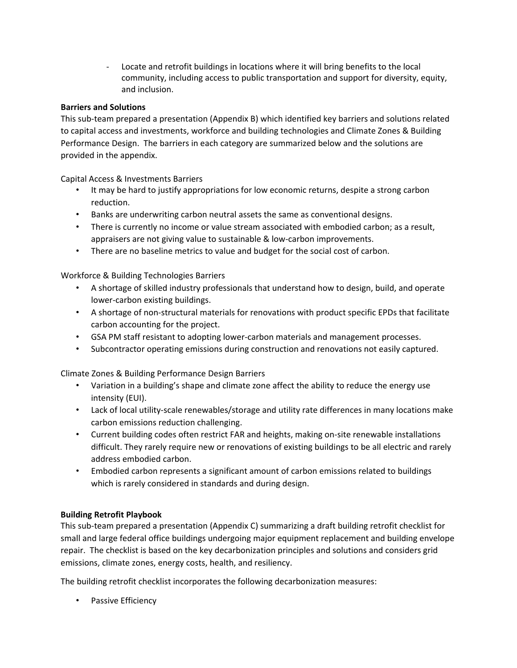- Locate and retrofit buildings in locations where it will bring benefits to the local community, including access to public transportation and support for diversity, equity, and inclusion.

## **Barriers and Solutions**

This sub-team prepared a presentation (Appendix B) which identified key barriers and solutions related to capital access and investments, workforce and building technologies and Climate Zones & Building Performance Design. The barriers in each category are summarized below and the solutions are provided in the appendix.

Capital Access & Investments Barriers

- It may be hard to justify appropriations for low economic returns, despite a strong carbon reduction.
- Banks are underwriting carbon neutral assets the same as conventional designs.
- There is currently no income or value stream associated with embodied carbon; as a result, appraisers are not giving value to sustainable & low-carbon improvements.
- There are no baseline metrics to value and budget for the social cost of carbon.

Workforce & Building Technologies Barriers

- A shortage of skilled industry professionals that understand how to design, build, and operate lower-carbon existing buildings.
- A shortage of non-structural materials for renovations with product specific EPDs that facilitate carbon accounting for the project.
- GSA PM staff resistant to adopting lower-carbon materials and management processes.
- Subcontractor operating emissions during construction and renovations not easily captured.

Climate Zones & Building Performance Design Barriers

- Variation in a building's shape and climate zone affect the ability to reduce the energy use intensity (EUI).
- Lack of local utility-scale renewables/storage and utility rate differences in many locations make carbon emissions reduction challenging.
- Current building codes often restrict FAR and heights, making on-site renewable installations difficult. They rarely require new or renovations of existing buildings to be all electric and rarely address embodied carbon.
- Embodied carbon represents a significant amount of carbon emissions related to buildings which is rarely considered in standards and during design.

# **Building Retrofit Playbook**

This sub-team prepared a presentation (Appendix C) summarizing a draft building retrofit checklist for small and large federal office buildings undergoing major equipment replacement and building envelope repair. The checklist is based on the key decarbonization principles and solutions and considers grid emissions, climate zones, energy costs, health, and resiliency.

The building retrofit checklist incorporates the following decarbonization measures:

• Passive Efficiency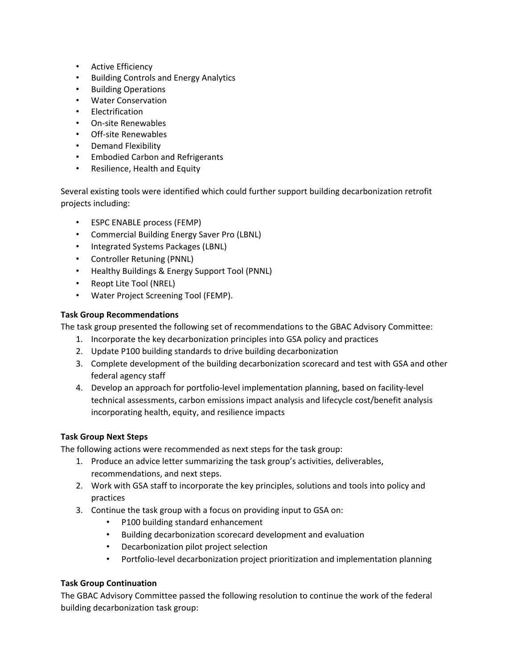- Active Efficiency
- Building Controls and Energy Analytics
- Building Operations
- Water Conservation
- Electrification
- On-site Renewables
- Off-site Renewables
- Demand Flexibility
- Embodied Carbon and Refrigerants
- Resilience, Health and Equity

Several existing tools were identified which could further support building decarbonization retrofit projects including:

- ESPC ENABLE process (FEMP)
- Commercial Building Energy Saver Pro (LBNL)
- Integrated Systems Packages (LBNL)
- Controller Retuning (PNNL)
- Healthy Buildings & Energy Support Tool (PNNL)
- Reopt Lite Tool (NREL)
- Water Project Screening Tool (FEMP).

## **Task Group Recommendations**

The task group presented the following set of recommendations to the GBAC Advisory Committee:

- 1. Incorporate the key decarbonization principles into GSA policy and practices
- 2. Update P100 building standards to drive building decarbonization
- 3. Complete development of the building decarbonization scorecard and test with GSA and other federal agency staff
- 4. Develop an approach for portfolio-level implementation planning, based on facility-level technical assessments, carbon emissions impact analysis and lifecycle cost/benefit analysis incorporating health, equity, and resilience impacts

## **Task Group Next Steps**

The following actions were recommended as next steps for the task group:

- 1. Produce an advice letter summarizing the task group's activities, deliverables, recommendations, and next steps.
- 2. Work with GSA staff to incorporate the key principles, solutions and tools into policy and practices
- 3. Continue the task group with a focus on providing input to GSA on:
	- P100 building standard enhancement
	- Building decarbonization scorecard development and evaluation
	- Decarbonization pilot project selection
	- Portfolio-level decarbonization project prioritization and implementation planning

## **Task Group Continuation**

The GBAC Advisory Committee passed the following resolution to continue the work of the federal building decarbonization task group: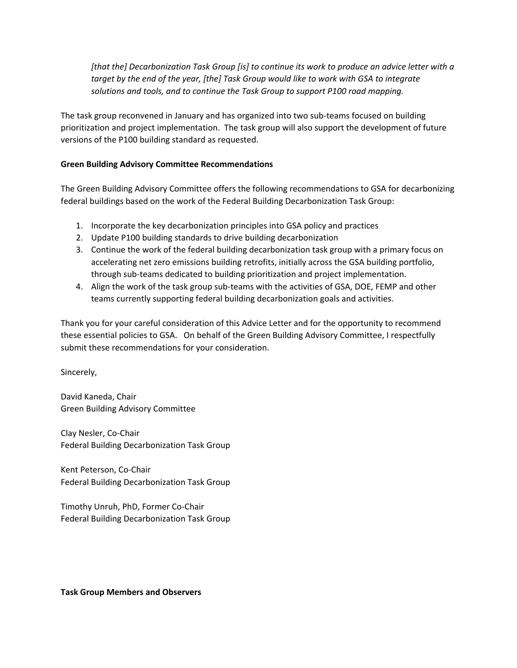*[that the] Decarbonization Task Group [is] to continue its work to produce an advice letter with a target by the end of the year, [the] Task Group would like to work with GSA to integrate solutions and tools, and to continue the Task Group to support P100 road mapping.*

The task group reconvened in January and has organized into two sub-teams focused on building prioritization and project implementation. The task group will also support the development of future versions of the P100 building standard as requested.

# **Green Building Advisory Committee Recommendations**

The Green Building Advisory Committee offers the following recommendations to GSA for decarbonizing federal buildings based on the work of the Federal Building Decarbonization Task Group:

- 1. Incorporate the key decarbonization principles into GSA policy and practices
- 2. Update P100 building standards to drive building decarbonization
- 3. Continue the work of the federal building decarbonization task group with a primary focus on accelerating net zero emissions building retrofits, initially across the GSA building portfolio, through sub-teams dedicated to building prioritization and project implementation.
- 4. Align the work of the task group sub-teams with the activities of GSA, DOE, FEMP and other teams currently supporting federal building decarbonization goals and activities.

Thank you for your careful consideration of this Advice Letter and for the opportunity to recommend these essential policies to GSA. On behalf of the Green Building Advisory Committee, I respectfully submit these recommendations for your consideration.

Sincerely,

David Kaneda, Chair Green Building Advisory Committee

Clay Nesler, Co-Chair Federal Building Decarbonization Task Group

Kent Peterson, Co-Chair Federal Building Decarbonization Task Group

Timothy Unruh, PhD, Former Co-Chair Federal Building Decarbonization Task Group

#### **Task Group Members and Observers**